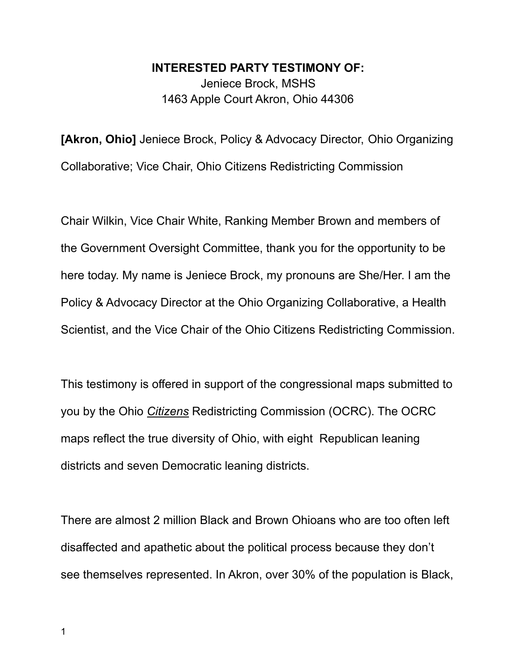**INTERESTED PARTY TESTIMONY OF:** Jeniece Brock, MSHS 1463 Apple Court Akron, Ohio 44306

**[Akron, Ohio]** Jeniece Brock, Policy & Advocacy Director, Ohio Organizing Collaborative; Vice Chair, Ohio Citizens Redistricting Commission

Chair Wilkin, Vice Chair White, Ranking Member Brown and members of the Government Oversight Committee, thank you for the opportunity to be here today. My name is Jeniece Brock, my pronouns are She/Her. I am the Policy & Advocacy Director at the Ohio Organizing Collaborative, a Health Scientist, and the Vice Chair of the Ohio Citizens Redistricting Commission.

This testimony is offered in support of the congressional maps submitted to you by the Ohio *Citizens* Redistricting Commission (OCRC). The OCRC maps reflect the true diversity of Ohio, with eight Republican leaning districts and seven Democratic leaning districts.

There are almost 2 million Black and Brown Ohioans who are too often left disaffected and apathetic about the political process because they don't see themselves represented. In Akron, over 30% of the population is Black,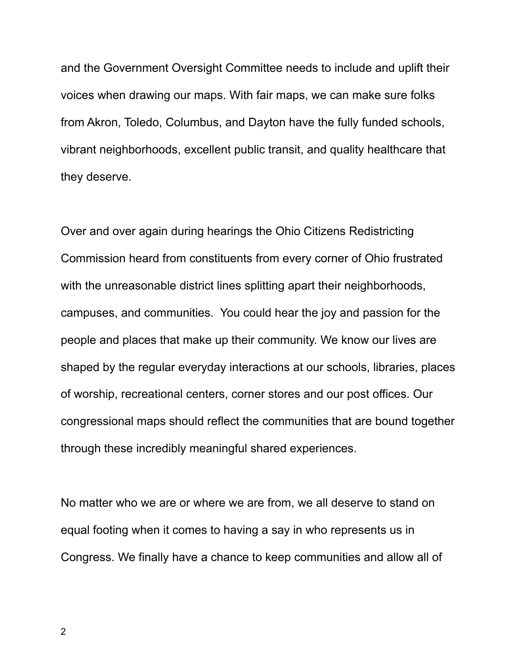and the Government Oversight Committee needs to include and uplift their voices when drawing our maps. With fair maps, we can make sure folks from Akron, Toledo, Columbus, and Dayton have the fully funded schools, vibrant neighborhoods, excellent public transit, and quality healthcare that they deserve.

Over and over again during hearings the Ohio Citizens Redistricting Commission heard from constituents from every corner of Ohio frustrated with the unreasonable district lines splitting apart their neighborhoods, campuses, and communities. You could hear the joy and passion for the people and places that make up their community. We know our lives are shaped by the regular everyday interactions at our schools, libraries, places of worship, recreational centers, corner stores and our post offices. Our congressional maps should reflect the communities that are bound together through these incredibly meaningful shared experiences.

No matter who we are or where we are from, we all deserve to stand on equal footing when it comes to having a say in who represents us in Congress. We finally have a chance to keep communities and allow all of

2